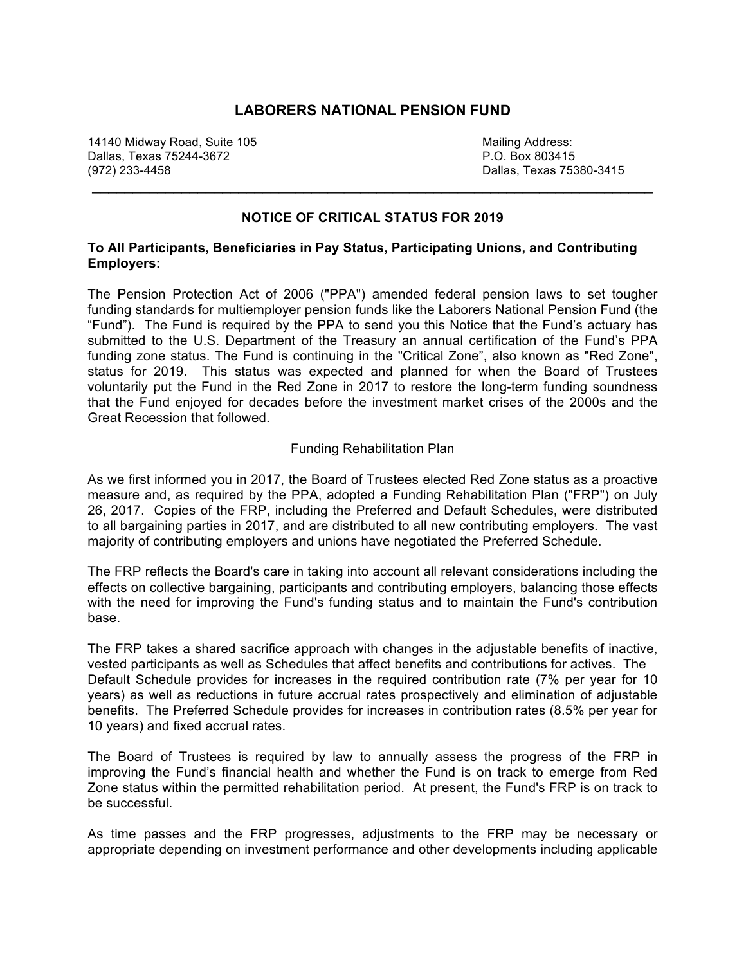# **LABORERS NATIONAL PENSION FUND**

14140 Midway Road, Suite 105 Mailing Address: Dallas, Texas 75244-3672 (972) 233-4458 Dallas, Texas 75380-3415

## **NOTICE OF CRITICAL STATUS FOR 2019**

 $\mathcal{L}_\text{max}$  , and the contribution of the contribution of the contribution of the contribution of the contribution of the contribution of the contribution of the contribution of the contribution of the contribution of t

### **To All Participants, Beneficiaries in Pay Status, Participating Unions, and Contributing Employers:**

The Pension Protection Act of 2006 ("PPA") amended federal pension laws to set tougher funding standards for multiemployer pension funds like the Laborers National Pension Fund (the "Fund"). The Fund is required by the PPA to send you this Notice that the Fund's actuary has submitted to the U.S. Department of the Treasury an annual certification of the Fund's PPA funding zone status. The Fund is continuing in the "Critical Zone", also known as "Red Zone", status for 2019. This status was expected and planned for when the Board of Trustees voluntarily put the Fund in the Red Zone in 2017 to restore the long-term funding soundness that the Fund enjoyed for decades before the investment market crises of the 2000s and the Great Recession that followed.

#### Funding Rehabilitation Plan

As we first informed you in 2017, the Board of Trustees elected Red Zone status as a proactive measure and, as required by the PPA, adopted a Funding Rehabilitation Plan ("FRP") on July 26, 2017. Copies of the FRP, including the Preferred and Default Schedules, were distributed to all bargaining parties in 2017, and are distributed to all new contributing employers. The vast majority of contributing employers and unions have negotiated the Preferred Schedule.

The FRP reflects the Board's care in taking into account all relevant considerations including the effects on collective bargaining, participants and contributing employers, balancing those effects with the need for improving the Fund's funding status and to maintain the Fund's contribution base.

The FRP takes a shared sacrifice approach with changes in the adjustable benefits of inactive, vested participants as well as Schedules that affect benefits and contributions for actives. The Default Schedule provides for increases in the required contribution rate (7% per year for 10 years) as well as reductions in future accrual rates prospectively and elimination of adjustable benefits. The Preferred Schedule provides for increases in contribution rates (8.5% per year for 10 years) and fixed accrual rates.

The Board of Trustees is required by law to annually assess the progress of the FRP in improving the Fund's financial health and whether the Fund is on track to emerge from Red Zone status within the permitted rehabilitation period. At present, the Fund's FRP is on track to be successful.

As time passes and the FRP progresses, adjustments to the FRP may be necessary or appropriate depending on investment performance and other developments including applicable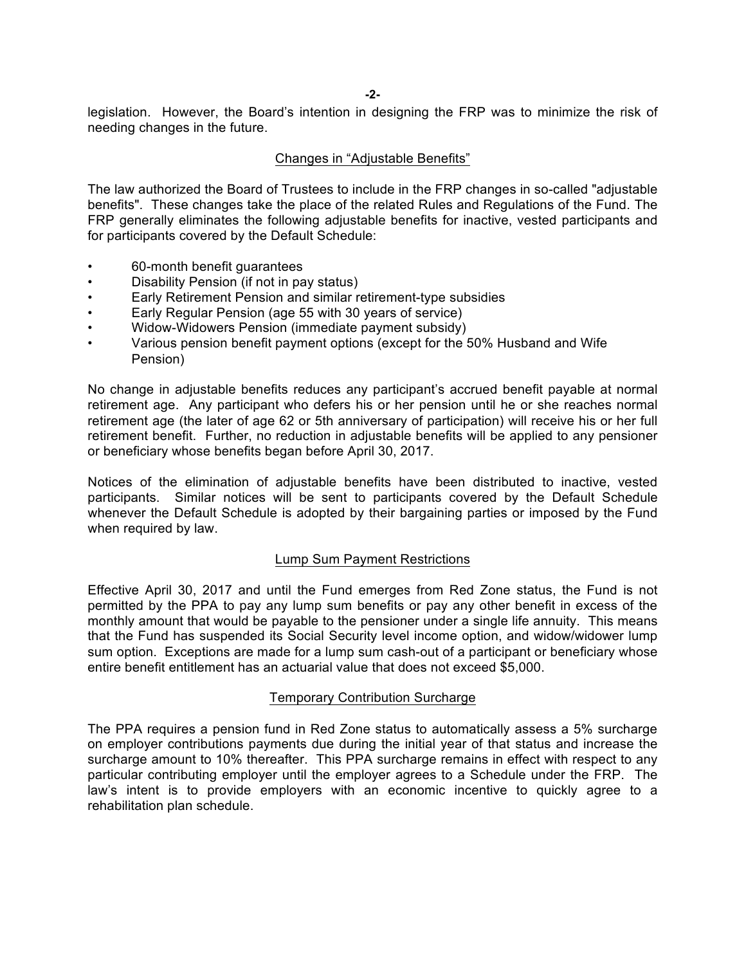**-2-**

legislation. However, the Board's intention in designing the FRP was to minimize the risk of needing changes in the future.

### Changes in "Adjustable Benefits"

The law authorized the Board of Trustees to include in the FRP changes in so-called "adjustable benefits". These changes take the place of the related Rules and Regulations of the Fund. The FRP generally eliminates the following adjustable benefits for inactive, vested participants and for participants covered by the Default Schedule:

- 60-month benefit guarantees
- Disability Pension (if not in pay status)
- Early Retirement Pension and similar retirement-type subsidies
- Early Regular Pension (age 55 with 30 years of service)
- Widow-Widowers Pension (immediate payment subsidy)
- Various pension benefit payment options (except for the 50% Husband and Wife Pension)

No change in adjustable benefits reduces any participant's accrued benefit payable at normal retirement age. Any participant who defers his or her pension until he or she reaches normal retirement age (the later of age 62 or 5th anniversary of participation) will receive his or her full retirement benefit. Further, no reduction in adjustable benefits will be applied to any pensioner or beneficiary whose benefits began before April 30, 2017.

Notices of the elimination of adjustable benefits have been distributed to inactive, vested participants. Similar notices will be sent to participants covered by the Default Schedule whenever the Default Schedule is adopted by their bargaining parties or imposed by the Fund when required by law.

### Lump Sum Payment Restrictions

Effective April 30, 2017 and until the Fund emerges from Red Zone status, the Fund is not permitted by the PPA to pay any lump sum benefits or pay any other benefit in excess of the monthly amount that would be payable to the pensioner under a single life annuity. This means that the Fund has suspended its Social Security level income option, and widow/widower lump sum option. Exceptions are made for a lump sum cash-out of a participant or beneficiary whose entire benefit entitlement has an actuarial value that does not exceed \$5,000.

### Temporary Contribution Surcharge

The PPA requires a pension fund in Red Zone status to automatically assess a 5% surcharge on employer contributions payments due during the initial year of that status and increase the surcharge amount to 10% thereafter. This PPA surcharge remains in effect with respect to any particular contributing employer until the employer agrees to a Schedule under the FRP. The law's intent is to provide employers with an economic incentive to quickly agree to a rehabilitation plan schedule.